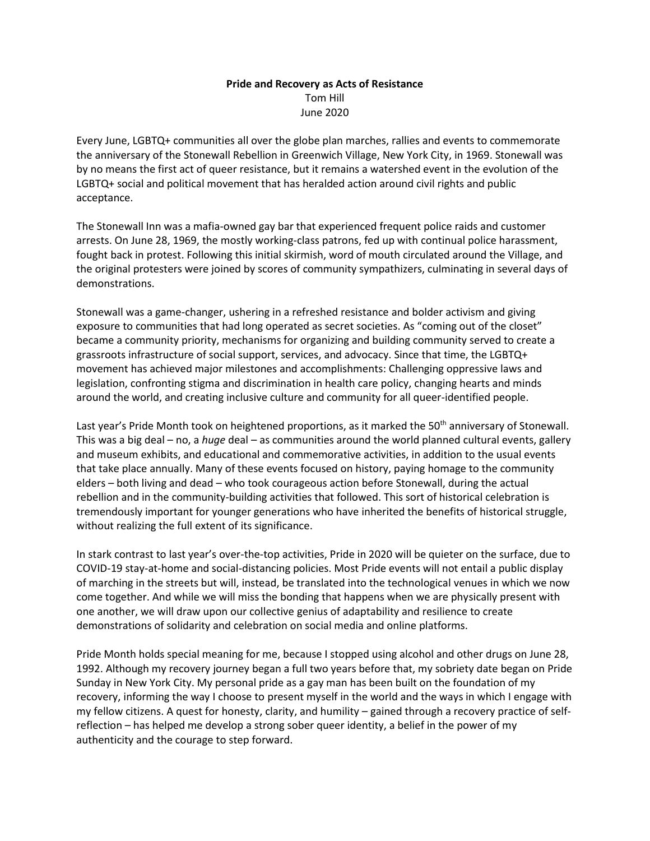## **Pride and Recovery as Acts of Resistance** Tom Hill June 2020

Every June, LGBTQ+ communities all over the globe plan marches, rallies and events to commemorate the anniversary of the Stonewall Rebellion in Greenwich Village, New York City, in 1969. Stonewall was by no means the first act of queer resistance, but it remains a watershed event in the evolution of the LGBTQ+ social and political movement that has heralded action around civil rights and public acceptance.

The Stonewall Inn was a mafia-owned gay bar that experienced frequent police raids and customer arrests. On June 28, 1969, the mostly working-class patrons, fed up with continual police harassment, fought back in protest. Following this initial skirmish, word of mouth circulated around the Village, and the original protesters were joined by scores of community sympathizers, culminating in several days of demonstrations.

Stonewall was a game-changer, ushering in a refreshed resistance and bolder activism and giving exposure to communities that had long operated as secret societies. As "coming out of the closet" became a community priority, mechanisms for organizing and building community served to create a grassroots infrastructure of social support, services, and advocacy. Since that time, the LGBTQ+ movement has achieved major milestones and accomplishments: Challenging oppressive laws and legislation, confronting stigma and discrimination in health care policy, changing hearts and minds around the world, and creating inclusive culture and community for all queer-identified people.

Last year's Pride Month took on heightened proportions, as it marked the 50<sup>th</sup> anniversary of Stonewall. This was a big deal – no, a *huge* deal – as communities around the world planned cultural events, gallery and museum exhibits, and educational and commemorative activities, in addition to the usual events that take place annually. Many of these events focused on history, paying homage to the community elders – both living and dead – who took courageous action before Stonewall, during the actual rebellion and in the community-building activities that followed. This sort of historical celebration is tremendously important for younger generations who have inherited the benefits of historical struggle, without realizing the full extent of its significance.

In stark contrast to last year's over-the-top activities, Pride in 2020 will be quieter on the surface, due to COVID-19 stay-at-home and social-distancing policies. Most Pride events will not entail a public display of marching in the streets but will, instead, be translated into the technological venues in which we now come together. And while we will miss the bonding that happens when we are physically present with one another, we will draw upon our collective genius of adaptability and resilience to create demonstrations of solidarity and celebration on social media and online platforms.

Pride Month holds special meaning for me, because I stopped using alcohol and other drugs on June 28, 1992. Although my recovery journey began a full two years before that, my sobriety date began on Pride Sunday in New York City. My personal pride as a gay man has been built on the foundation of my recovery, informing the way I choose to present myself in the world and the ways in which I engage with my fellow citizens. A quest for honesty, clarity, and humility – gained through a recovery practice of selfreflection – has helped me develop a strong sober queer identity, a belief in the power of my authenticity and the courage to step forward.